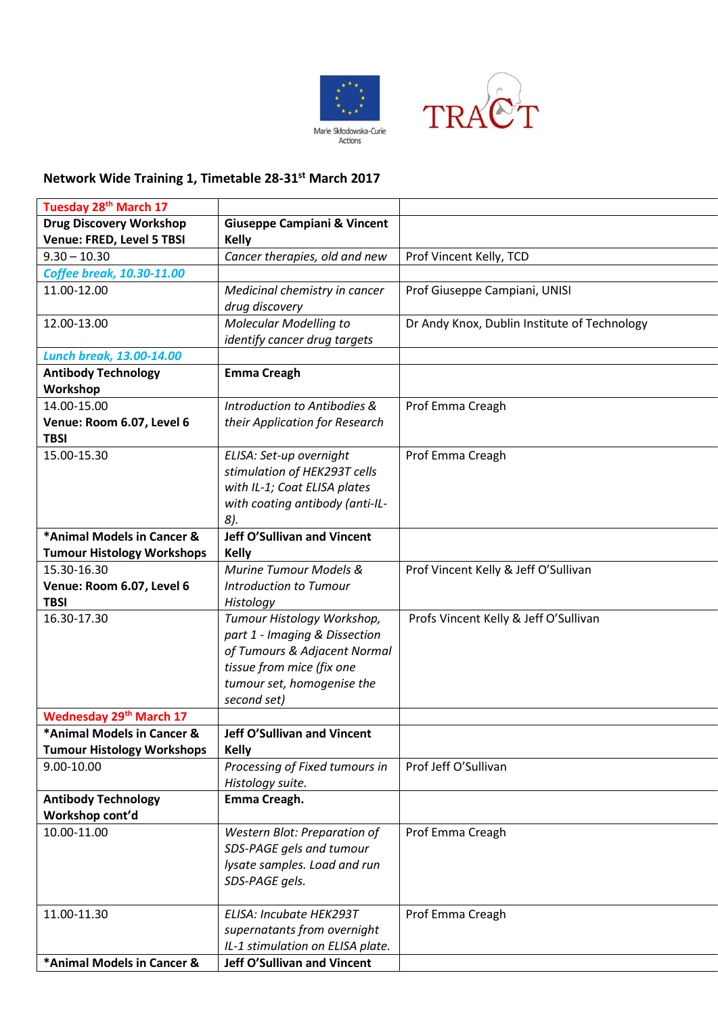



## **Network Wide Training 1, Timetable 28-31st March 2017**

| Tuesday 28 <sup>th</sup> March 17 |                                        |                                              |
|-----------------------------------|----------------------------------------|----------------------------------------------|
| <b>Drug Discovery Workshop</b>    | <b>Giuseppe Campiani &amp; Vincent</b> |                                              |
| Venue: FRED, Level 5 TBSI         | <b>Kelly</b>                           |                                              |
| $9.30 - 10.30$                    | Cancer therapies, old and new          | Prof Vincent Kelly, TCD                      |
| <b>Coffee break, 10.30-11.00</b>  |                                        |                                              |
| 11.00-12.00                       | Medicinal chemistry in cancer          | Prof Giuseppe Campiani, UNISI                |
|                                   | drug discovery                         |                                              |
| 12.00-13.00                       | <b>Molecular Modelling to</b>          | Dr Andy Knox, Dublin Institute of Technology |
|                                   | identify cancer drug targets           |                                              |
| <b>Lunch break, 13.00-14.00</b>   |                                        |                                              |
| <b>Antibody Technology</b>        | <b>Emma Creagh</b>                     |                                              |
| Workshop                          |                                        |                                              |
| 14.00-15.00                       | Introduction to Antibodies &           | Prof Emma Creagh                             |
| Venue: Room 6.07, Level 6         | their Application for Research         |                                              |
| <b>TBSI</b>                       |                                        |                                              |
| 15.00-15.30                       | ELISA: Set-up overnight                | Prof Emma Creagh                             |
|                                   | stimulation of HEK293T cells           |                                              |
|                                   | with IL-1; Coat ELISA plates           |                                              |
|                                   | with coating antibody (anti-IL-        |                                              |
|                                   | 8).                                    |                                              |
| *Animal Models in Cancer &        | <b>Jeff O'Sullivan and Vincent</b>     |                                              |
| <b>Tumour Histology Workshops</b> | <b>Kelly</b>                           |                                              |
| 15.30-16.30                       | Murine Tumour Models &                 | Prof Vincent Kelly & Jeff O'Sullivan         |
| Venue: Room 6.07, Level 6         | <b>Introduction to Tumour</b>          |                                              |
| <b>TBSI</b>                       | Histology                              |                                              |
| 16.30-17.30                       | Tumour Histology Workshop,             | Profs Vincent Kelly & Jeff O'Sullivan        |
|                                   | part 1 - Imaging & Dissection          |                                              |
|                                   | of Tumours & Adjacent Normal           |                                              |
|                                   | tissue from mice (fix one              |                                              |
|                                   | tumour set, homogenise the             |                                              |
|                                   | second set)                            |                                              |
| <b>Wednesday 29th March 17</b>    |                                        |                                              |
| *Animal Models in Cancer &        | <b>Jeff O'Sullivan and Vincent</b>     |                                              |
| <b>Tumour Histology Workshops</b> | <b>Kelly</b>                           |                                              |
| 9.00-10.00                        | Processing of Fixed tumours in         | Prof Jeff O'Sullivan                         |
|                                   | Histology suite.                       |                                              |
| <b>Antibody Technology</b>        | Emma Creagh.                           |                                              |
| Workshop cont'd                   |                                        |                                              |
| 10.00-11.00                       | Western Blot: Preparation of           | Prof Emma Creagh                             |
|                                   | SDS-PAGE gels and tumour               |                                              |
|                                   | lysate samples. Load and run           |                                              |
|                                   | SDS-PAGE gels.                         |                                              |
|                                   |                                        |                                              |
| 11.00-11.30                       | ELISA: Incubate HEK293T                | Prof Emma Creagh                             |
|                                   | supernatants from overnight            |                                              |
|                                   | IL-1 stimulation on ELISA plate.       |                                              |
| *Animal Models in Cancer &        | <b>Jeff O'Sullivan and Vincent</b>     |                                              |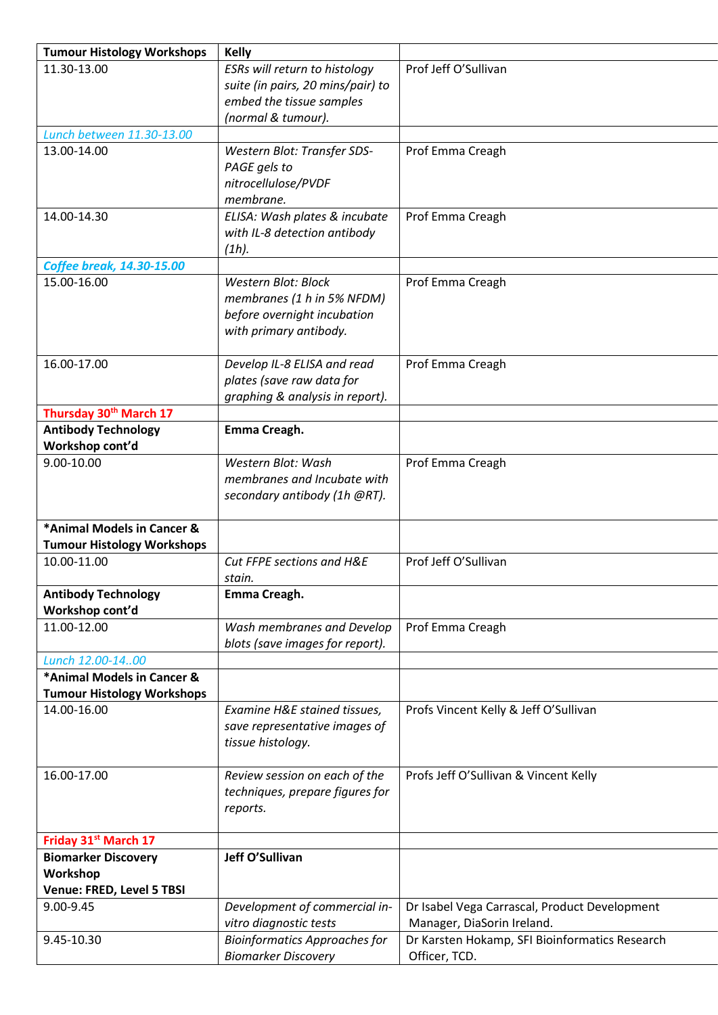| <b>Tumour Histology Workshops</b> | <b>Kelly</b>                         |                                                |
|-----------------------------------|--------------------------------------|------------------------------------------------|
| 11.30-13.00                       | ESRs will return to histology        | Prof Jeff O'Sullivan                           |
|                                   | suite (in pairs, 20 mins/pair) to    |                                                |
|                                   | embed the tissue samples             |                                                |
|                                   | (normal & tumour).                   |                                                |
| Lunch between 11.30-13.00         |                                      |                                                |
| 13.00-14.00                       | Western Blot: Transfer SDS-          | Prof Emma Creagh                               |
|                                   | PAGE gels to                         |                                                |
|                                   | nitrocellulose/PVDF                  |                                                |
|                                   | membrane.                            |                                                |
| 14.00-14.30                       | ELISA: Wash plates & incubate        | Prof Emma Creagh                               |
|                                   | with IL-8 detection antibody         |                                                |
|                                   | $(1h)$ .                             |                                                |
| <b>Coffee break, 14.30-15.00</b>  |                                      |                                                |
| 15.00-16.00                       | <b>Western Blot: Block</b>           | Prof Emma Creagh                               |
|                                   | membranes (1 h in 5% NFDM)           |                                                |
|                                   | before overnight incubation          |                                                |
|                                   | with primary antibody.               |                                                |
|                                   |                                      |                                                |
| 16.00-17.00                       | Develop IL-8 ELISA and read          | Prof Emma Creagh                               |
|                                   | plates (save raw data for            |                                                |
|                                   | graphing & analysis in report).      |                                                |
| Thursday 30th March 17            |                                      |                                                |
| <b>Antibody Technology</b>        | Emma Creagh.                         |                                                |
| Workshop cont'd                   |                                      |                                                |
| 9.00-10.00                        | Western Blot: Wash                   | Prof Emma Creagh                               |
|                                   | membranes and Incubate with          |                                                |
|                                   | secondary antibody (1h @RT).         |                                                |
|                                   |                                      |                                                |
| *Animal Models in Cancer &        |                                      |                                                |
| <b>Tumour Histology Workshops</b> |                                      |                                                |
| 10.00-11.00                       | Cut FFPE sections and H&E            | Prof Jeff O'Sullivan                           |
| <b>Antibody Technology</b>        | stain.<br>Emma Creagh.               |                                                |
| Workshop cont'd                   |                                      |                                                |
| 11.00-12.00                       | Wash membranes and Develop           | Prof Emma Creagh                               |
|                                   | blots (save images for report).      |                                                |
| Lunch 12.00-1400                  |                                      |                                                |
| *Animal Models in Cancer &        |                                      |                                                |
| <b>Tumour Histology Workshops</b> |                                      |                                                |
| 14.00-16.00                       | Examine H&E stained tissues,         | Profs Vincent Kelly & Jeff O'Sullivan          |
|                                   | save representative images of        |                                                |
|                                   | tissue histology.                    |                                                |
|                                   |                                      |                                                |
| 16.00-17.00                       | Review session on each of the        | Profs Jeff O'Sullivan & Vincent Kelly          |
|                                   | techniques, prepare figures for      |                                                |
|                                   | reports.                             |                                                |
|                                   |                                      |                                                |
| Friday 31st March 17              |                                      |                                                |
| <b>Biomarker Discovery</b>        | Jeff O'Sullivan                      |                                                |
| Workshop                          |                                      |                                                |
| Venue: FRED, Level 5 TBSI         |                                      |                                                |
| 9.00-9.45                         | Development of commercial in-        | Dr Isabel Vega Carrascal, Product Development  |
|                                   | vitro diagnostic tests               | Manager, DiaSorin Ireland.                     |
| 9.45-10.30                        | <b>Bioinformatics Approaches for</b> | Dr Karsten Hokamp, SFI Bioinformatics Research |
|                                   | <b>Biomarker Discovery</b>           | Officer, TCD.                                  |